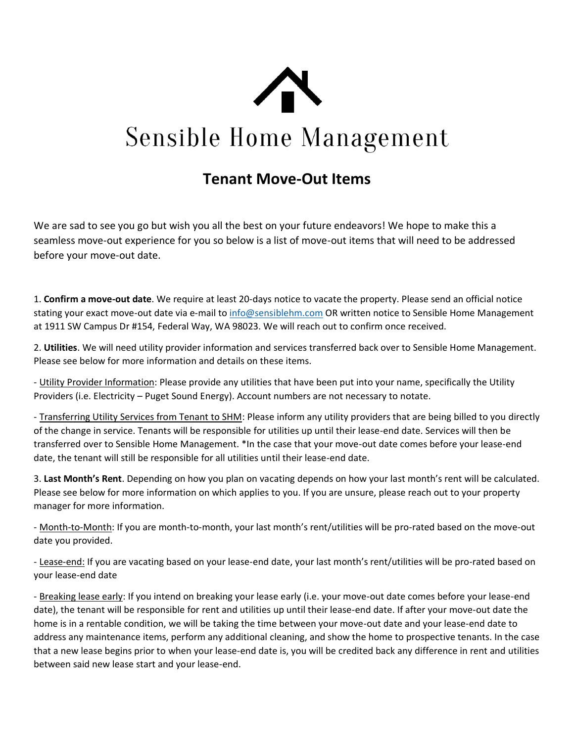

## **Sensible Home Management**

## **Tenant Move-Out Items**

We are sad to see you go but wish you all the best on your future endeavors! We hope to make this a seamless move-out experience for you so below is a list of move-out items that will need to be addressed before your move-out date.

1. **Confirm a move-out date**. We require at least 20-days notice to vacate the property. Please send an official notice stating your exact move-out date via e-mail t[o info@sensiblehm.com](mailto:leasing@sensiblehm.com) OR written notice to Sensible Home Management at 1911 SW Campus Dr #154, Federal Way, WA 98023. We will reach out to confirm once received.

2. **Utilities**. We will need utility provider information and services transferred back over to Sensible Home Management. Please see below for more information and details on these items.

- Utility Provider Information: Please provide any utilities that have been put into your name, specifically the Utility Providers (i.e. Electricity – Puget Sound Energy). Account numbers are not necessary to notate.

- Transferring Utility Services from Tenant to SHM: Please inform any utility providers that are being billed to you directly of the change in service. Tenants will be responsible for utilities up until their lease-end date. Services will then be transferred over to Sensible Home Management. \*In the case that your move-out date comes before your lease-end date, the tenant will still be responsible for all utilities until their lease-end date.

3. **Last Month's Rent**. Depending on how you plan on vacating depends on how your last month's rent will be calculated. Please see below for more information on which applies to you. If you are unsure, please reach out to your property manager for more information.

- Month-to-Month: If you are month-to-month, your last month's rent/utilities will be pro-rated based on the move-out date you provided.

- Lease-end: If you are vacating based on your lease-end date, your last month's rent/utilities will be pro-rated based on your lease-end date

- Breaking lease early: If you intend on breaking your lease early (i.e. your move-out date comes before your lease-end date), the tenant will be responsible for rent and utilities up until their lease-end date. If after your move-out date the home is in a rentable condition, we will be taking the time between your move-out date and your lease-end date to address any maintenance items, perform any additional cleaning, and show the home to prospective tenants. In the case that a new lease begins prior to when your lease-end date is, you will be credited back any difference in rent and utilities between said new lease start and your lease-end.